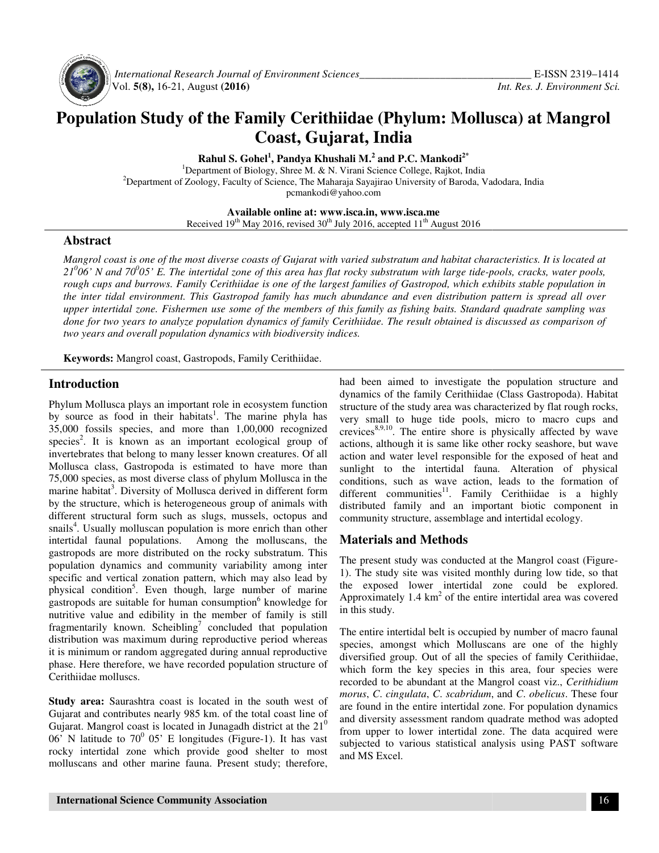

 *International Research Journal Journal of Environment Sciences\_\_\_\_\_\_\_\_\_\_\_\_\_\_\_\_\_\_\_\_\_\_\_\_\_\_\_\_\_* Vol. **5(8),** 16-21, August **(2016)**

# **Population Study of the Family Cerithiidae (Phylum: Mollusca) at Mangrol Coast, Gujarat, India**

**Rahul S. Gohel 1 , Pandya Khushali M.<sup>2</sup> and P.C. Mankodi2\*** 

<sup>1</sup>Department of Biology, Shree M. & N. Virani Science College, Rajkot, India <sup>2</sup>Department of Zoology, Faculty of Science, The Maharaja Sayajirao University of Baroda, Vadodara, India<br>
pemankodi@yahoo.com

**Available Available online at: www.isca.in, www.isca.me** 

Received 19<sup>th</sup> May 2016, revised 30<sup>th</sup> July 2016, accepted 11<sup>th</sup> August 2016

#### **Abstract**

*Mangrol coast is one of the most diverse coasts of Gujarat with varied substratum and habitat characteristics. It is located at*  Mangrol coast is one of the most diverse coasts of Gujarat with varied substratum and habitat characteristics. It is located at<br>21<sup>0</sup>06' N and 70<sup>0</sup>05' E. The intertidal zone of this area has flat rocky substratum with lar *rough cups and burrows. Family Cerithiidae is one of the largest families of Gastropod, which exhibits stable population in the inter tidal environment. This Gastropod family has much abundance and even distribution pattern is spread all over upper intertidal zone. Fishermen use some of the members of this family as fishing baits. Standard quadrate sampling was done for two years to analyze population dynamics of family Cerithiidae. The result obtained is discussed as comparison of two years and overall population dynamics with biodiversity indices.*  gh cups and burrows. Family Cerithiidae is one of the largest families of Gastropod, which exhibits stable population<br>inter tidal environment. This Gastropod family has much abundance and even distribution pattern is sprea

**Keywords:** Mangrol coast, Gastropods, Family Cerithiidae.

## **Introduction**

Phylum Mollusca plays an important role in ecosystem function Keywords: Mangrol coast, Gastropods, Family Cerithiidae.<br> **Introduction**<br>
Phylum Mollusca plays an important role in ecosystem function<br>
by source as food in their habitats<sup>1</sup>. The marine phyla has 35,000 fossils species, and more than 1,00,000 recognized species<sup>2</sup>. It is known as an important ecological group of invertebrates that belong to many lesser known creatures. Of all Mollusca class, Gastropoda is estimated to have more than 75,000 species, as most diverse class of phylum Mollusca in the marine habitat<sup>3</sup>. Diversity of Mollusca derived in different form by the structure, which is heterogeneous group of animals with different structural form such as slugs, mussels, octopus and snails<sup>4</sup>. Usually molluscan population is more enrich than other intertidal faunal populations. Among the molluscans, the gastropods are more distributed on the rocky substratum. This population dynamics and community variability among inter specific and vertical zonation pattern, which may also lead by physical condition<sup>5</sup>. Even though, large number of marine gastropods are suitable for human consumption<sup>6</sup> knowledge for nutritive value and edibility in the member of family is still fragmentarily known. Scheibling<sup>7</sup> concluded that population distribution was maximum during reproductive period whereas it is minimum or random aggregated during annual reproductive phase. Here therefore, we have recorded population structure of Cerithiidae molluscs. 35,000 fossils species, and more than 1,00,000 recognized species<sup>2</sup>. It is known as an important ecological group of invertebrates that belong to many lesser known creatures. Of all Mollusca class, Gastropoda is estimated in the member of family is still<br>ntarily known. Scheibling<sup>7</sup> concluded that population<br>tion was maximum during reproductive period whereas<br>nimum or random aggregated during annual reproductive<br>Here therefore, we have rec

**Study area:** Saurashtra coast is located in the south west of Gujarat and contributes nearly 985 km. of the total coast line of Gujarat. Mangrol coast is located in Junagadh district at the  $21<sup>0</sup>$ 06' N latitude to  $70^0$  05' E longitudes (Figure-1). It has vast rocky intertidal zone which provide good shelter to most molluscans and other marine fauna. Present study; therefore, had been aimed to investigate the population structure and had been aimed to investigate the population structure and dynamics of the family Cerithiidae (Class Gastropoda). Habitat structure of the study area was characterized by flat rough rocks, very small to huge tide pools, micro to macro cups and structure of the study area was characterized by flat rough rocks, very small to huge tide pools, micro to macro cups and crevices<sup>8,9,10</sup>. The entire shore is physically affected by wave actions, although it is same like other rocky seashore, but wave action and water level responsible for the exposed of heat and sunlight to the intertidal fauna. Alteration of physical conditions, such as wave action, leads to the formation of different communities<sup>11</sup>. Family Cerithiidae is a highly distributed family and an important biotic component in community structure, assemblage and intertidal ecology. although it is same like other rocky seashore, but wave nd water level responsible for the exposed of heat and to the intertidal fauna. Alteration of physical conditions, such as wave action, leads to the formation of<br>different communities<sup>11</sup>. Family Cerithiidae is a highly<br>distributed family and an important biotic component in<br>community structure, assemblage and intertidal ec

## **Materials and Methods**

The present study was conducted at the Mangrol coast (Figure 1). The study site was visited monthly during low tide, so that the exposed lower intertidal zone could be explored. Approximately  $1.4 \text{ km}^2$  of the entire intertidal area was covered in this study.

The entire intertidal belt is occupied by number of macro faunal species, amongst which Molluscans are one of the highly diversified group. Out of all the species of family Cerithiidae, which form the key species in this area, four species were recorded to be abundant at the Mangrol coast viz., Cerithidium *morus*, *C*. *cingulata*, *C*. *scabridum*, and , *C*. *obelicus*. These four are found in the entire intertidal zone. For population dynamics and diversity assessment random quadrate method was adopted from upper to lower intertidal zone. The data acquired were subjected to various statistical analysis using PAST software and MS Excel. 1). The study site was visited monthly during low tide, so that<br>the exposed lower intertidal zone could be explored.<br>Approximately 1.4  $km^2$  of the entire intertidal area was covered<br>in this study.<br>The entire intertidal b are found in the entire intertidal zone. For population<br>and diversity assessment random quadrate method wa<br>from upper to lower intertidal zone. The data acqu<br>subjected to various statistical analysis using PAST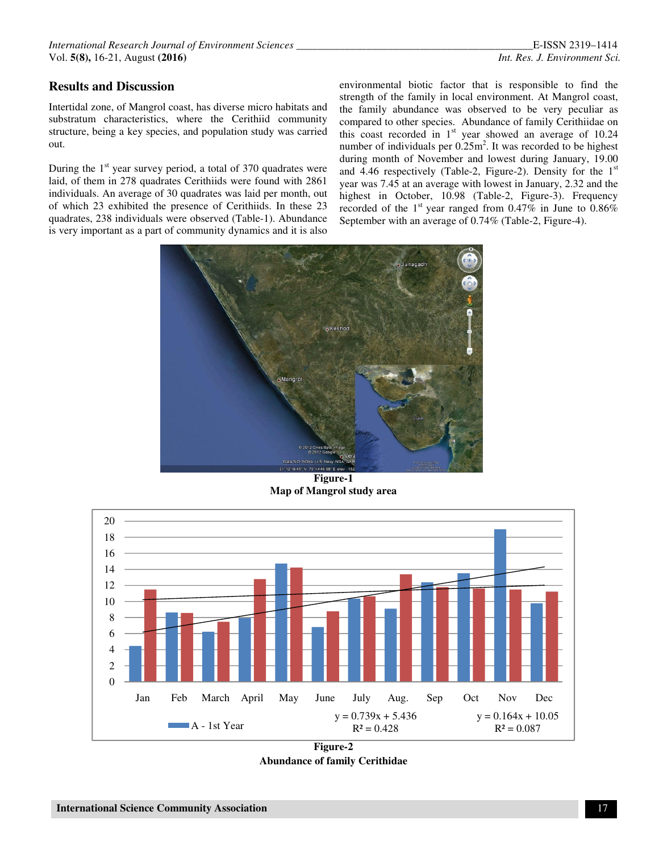## **Results and Discussion**

Intertidal zone, of Mangrol coast, has diverse micro habitats and substratum characteristics, where the Cerithiid community structure, being a key species, and population study was carried out.

During the  $1<sup>st</sup>$  year survey period, a total of 370 quadrates were laid, of them in 278 quadrates Cerithiids were found with 2861 individuals. An average of 30 quadrates was laid per month, out of which 23 exhibited the presence of Cerithiids. In these 23 quadrates, 238 individuals were observed (Table-1). Abundance is very important as a part of community dynamics and it is also

environmental biotic factor that is responsible to find the strength of the family in local environment. At Mangrol coast, the family abundance was observed to be very peculiar as compared to other species. Abundance of family Cerithiidae on this coast recorded in  $1<sup>st</sup>$  year showed an average of 10.24 number of individuals per  $0.25 \text{m}^2$ . It was recorded to be highest during month of November and lowest during January, 19.00 and 4.46 respectively (Table-2, Figure-2). Density for the  $1<sup>st</sup>$ year was 7.45 at an average with lowest in January, 2.32 and the highest in October, 10.98 (Table-2, Figure-3). Frequency recorded of the  $1<sup>st</sup>$  year ranged from 0.47% in June to 0.86% September with an average of 0.74% (Table-2, Figure-4).



**Figure-1 Map of Mangrol study area** 



**Figure-2 Abundance of family Cerithidae**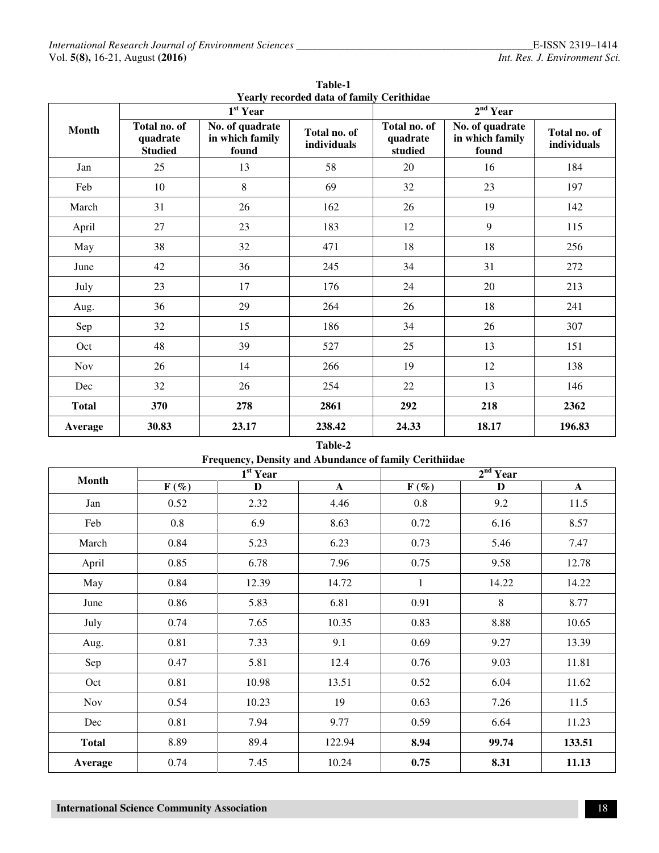| <b>Month</b> | Yearly recorded data of family Cerithidae<br>$1st$ Year |                                             |                             | 2 <sup>nd</sup> Year                |                                             |                             |  |
|--------------|---------------------------------------------------------|---------------------------------------------|-----------------------------|-------------------------------------|---------------------------------------------|-----------------------------|--|
|              | Total no. of<br>quadrate<br><b>Studied</b>              | No. of quadrate<br>in which family<br>found | Total no. of<br>individuals | Total no. of<br>quadrate<br>studied | No. of quadrate<br>in which family<br>found | Total no. of<br>individuals |  |
| Jan          | 25                                                      | 13                                          | 58                          | 20                                  | 16                                          | 184                         |  |
| Feb          | 10                                                      | 8                                           | 69                          | 32                                  | 23                                          | 197                         |  |
| March        | 31                                                      | 26                                          | 162                         | 26                                  | 19                                          | 142                         |  |
| April        | 27                                                      | 23                                          | 183                         | 12                                  | 9                                           | 115                         |  |
| May          | 38                                                      | 32                                          | 471                         | 18                                  | 18                                          | 256                         |  |
| June         | 42                                                      | 36                                          | 245                         | 34                                  | 31                                          | 272                         |  |
| July         | 23                                                      | 17                                          | 176                         | 24                                  | 20                                          | 213                         |  |
| Aug.         | 36                                                      | 29                                          | 264                         | 26                                  | 18                                          | 241                         |  |
| Sep          | 32                                                      | 15                                          | 186                         | 34                                  | 26                                          | 307                         |  |
| Oct          | 48                                                      | 39                                          | 527                         | 25                                  | 13                                          | 151                         |  |
| <b>Nov</b>   | 26                                                      | 14                                          | 266                         | 19                                  | 12                                          | 138                         |  |
| Dec          | 32                                                      | 26                                          | 254                         | 22                                  | 13                                          | 146                         |  |
| <b>Total</b> | 370                                                     | 278                                         | 2861                        | 292                                 | 218                                         | 2362                        |  |
| Average      | 30.83                                                   | 23.17                                       | 238.42                      | 24.33                               | 18.17                                       | 196.83                      |  |

**Table-1 Yearly recorded data of family Cerithidae** 

## **Table-2 Frequency, Density and Abundance of family Cerithiidae**

| <b>Month</b> | 1 <sup>st</sup> Year |       |              | 2 <sup>nd</sup> Year |       |              |  |
|--------------|----------------------|-------|--------------|----------------------|-------|--------------|--|
|              | $F(\%)$              | D     | $\mathbf{A}$ | $F(\%)$              | D     | $\mathbf{A}$ |  |
| Jan          | 0.52                 | 2.32  | 4.46         | 0.8                  | 9.2   | 11.5         |  |
| Feb          | 0.8                  | 6.9   | 8.63         | 0.72                 | 6.16  | 8.57         |  |
| March        | 0.84                 | 5.23  | 6.23         | 0.73                 | 5.46  | 7.47         |  |
| April        | 0.85                 | 6.78  | 7.96         | 0.75                 | 9.58  | 12.78        |  |
| May          | 0.84                 | 12.39 | 14.72        | $\mathbf{1}$         | 14.22 | 14.22        |  |
| June         | 0.86                 | 5.83  | 6.81         | 0.91                 | 8     | 8.77         |  |
| July         | 0.74                 | 7.65  | 10.35        | 0.83                 | 8.88  | 10.65        |  |
| Aug.         | 0.81                 | 7.33  | 9.1          | 0.69                 | 9.27  | 13.39        |  |
| Sep          | 0.47                 | 5.81  | 12.4         | 0.76                 | 9.03  | 11.81        |  |
| Oct          | 0.81                 | 10.98 | 13.51        | 0.52                 | 6.04  | 11.62        |  |
| Nov          | 0.54                 | 10.23 | 19           | 0.63                 | 7.26  | 11.5         |  |
| Dec          | 0.81                 | 7.94  | 9.77         | 0.59                 | 6.64  | 11.23        |  |
| <b>Total</b> | 8.89                 | 89.4  | 122.94       | 8.94                 | 99.74 | 133.51       |  |
| Average      | 0.74                 | 7.45  | 10.24        | 0.75                 | 8.31  | 11.13        |  |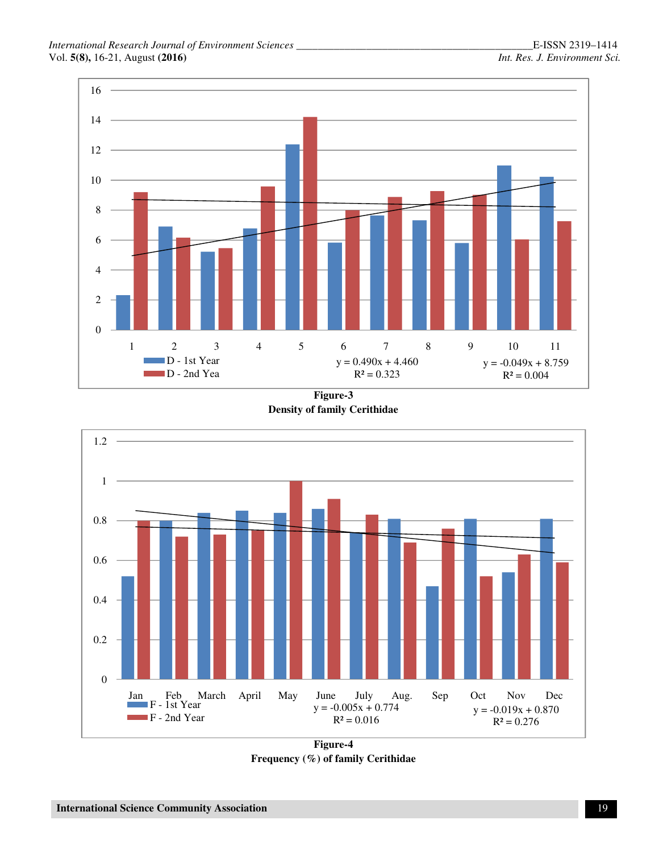

**Figure-3 Density of family Cerithidae**



**Figure-4 Frequency (%) of family Cerithidae**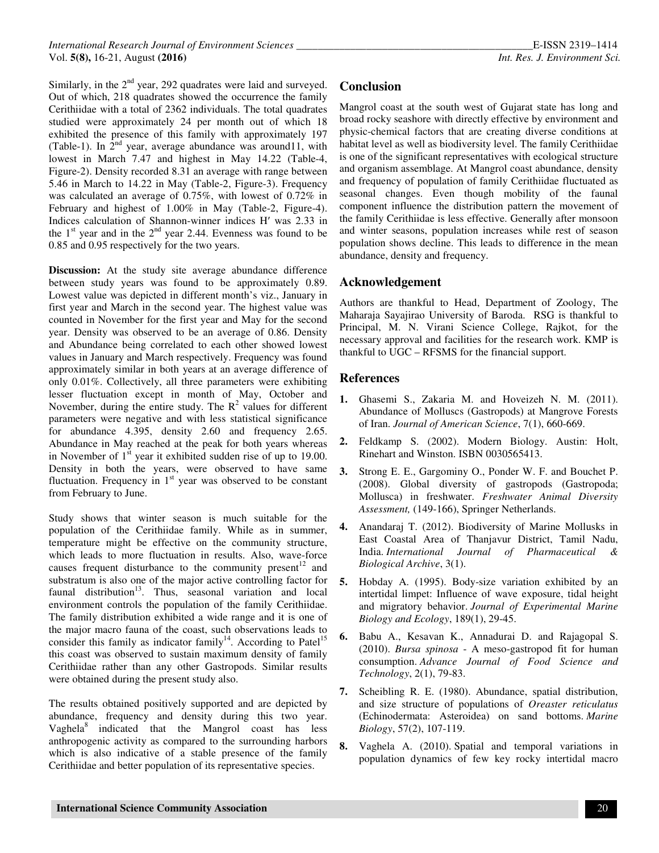Similarly, in the 2<sup>nd</sup> year, 292 quadrates were laid and surveyed. Out of which, 218 quadrates showed the occurrence the family Cerithiidae with a total of 2362 individuals. The total quadrates studied were approximately 24 per month out of which 18 exhibited the presence of this family with approximately 197 (Table-1). In  $2<sup>nd</sup>$  year, average abundance was around11, with lowest in March 7.47 and highest in May 14.22 (Table-4, Figure-2). Density recorded 8.31 an average with range between 5.46 in March to 14.22 in May (Table-2, Figure-3). Frequency was calculated an average of 0.75%, with lowest of 0.72% in February and highest of 1.00% in May (Table-2, Figure-4). Indices calculation of Shannon-winner indices Hʹ was 2.33 in the  $1<sup>st</sup>$  year and in the  $2<sup>nd</sup>$  year 2.44. Evenness was found to be 0.85 and 0.95 respectively for the two years.

**Discussion:** At the study site average abundance difference between study years was found to be approximately 0.89. Lowest value was depicted in different month's viz., January in first year and March in the second year. The highest value was counted in November for the first year and May for the second year. Density was observed to be an average of 0.86. Density and Abundance being correlated to each other showed lowest values in January and March respectively. Frequency was found approximately similar in both years at an average difference of only 0.01%. Collectively, all three parameters were exhibiting lesser fluctuation except in month of May, October and November, during the entire study. The  $R^2$  values for different parameters were negative and with less statistical significance for abundance 4.395, density 2.60 and frequency 2.65. Abundance in May reached at the peak for both years whereas in November of  $1<sup>st</sup>$  year it exhibited sudden rise of up to 19.00. Density in both the years, were observed to have same fluctuation. Frequency in  $1<sup>st</sup>$  year was observed to be constant from February to June.

Study shows that winter season is much suitable for the population of the Cerithiidae family. While as in summer, temperature might be effective on the community structure, which leads to more fluctuation in results. Also, wave-force causes frequent disturbance to the community present<sup>12</sup> and substratum is also one of the major active controlling factor for faunal distribution<sup>13</sup>. Thus, seasonal variation and local environment controls the population of the family Cerithiidae. The family distribution exhibited a wide range and it is one of the major macro fauna of the coast, such observations leads to consider this family as indicator family<sup>14</sup>. According to Patel<sup>15</sup> this coast was observed to sustain maximum density of family Cerithiidae rather than any other Gastropods. Similar results were obtained during the present study also.

The results obtained positively supported and are depicted by abundance, frequency and density during this two year. Vaghela<sup>8</sup> indicated that the Mangrol coast has less anthropogenic activity as compared to the surrounding harbors which is also indicative of a stable presence of the family Cerithiidae and better population of its representative species.

# **Conclusion**

Mangrol coast at the south west of Gujarat state has long and broad rocky seashore with directly effective by environment and physic-chemical factors that are creating diverse conditions at habitat level as well as biodiversity level. The family Cerithiidae is one of the significant representatives with ecological structure and organism assemblage. At Mangrol coast abundance, density and frequency of population of family Cerithiidae fluctuated as seasonal changes. Even though mobility of the faunal component influence the distribution pattern the movement of the family Cerithiidae is less effective. Generally after monsoon and winter seasons, population increases while rest of season population shows decline. This leads to difference in the mean abundance, density and frequency.

#### **Acknowledgement**

Authors are thankful to Head, Department of Zoology, The Maharaja Sayajirao University of Baroda. RSG is thankful to Principal, M. N. Virani Science College, Rajkot, for the necessary approval and facilities for the research work. KMP is thankful to UGC – RFSMS for the financial support.

## **References**

- **1.** Ghasemi S., Zakaria M. and Hoveizeh N. M. (2011). Abundance of Molluscs (Gastropods) at Mangrove Forests of Iran. *Journal of American Science*, 7(1), 660-669.
- **2.** Feldkamp S. (2002). Modern Biology. Austin: Holt, Rinehart and Winston. ISBN 0030565413.
- **3.** Strong E. E., Gargominy O., Ponder W. F. and Bouchet P. (2008). Global diversity of gastropods (Gastropoda; Mollusca) in freshwater. *Freshwater Animal Diversity Assessment,* (149-166), Springer Netherlands.
- **4.** Anandaraj T. (2012). Biodiversity of Marine Mollusks in East Coastal Area of Thanjavur District, Tamil Nadu, India. *International Journal of Pharmaceutical & Biological Archive*, 3(1).
- **5.** Hobday A. (1995). Body-size variation exhibited by an intertidal limpet: Influence of wave exposure, tidal height and migratory behavior. *Journal of Experimental Marine Biology and Ecology*, 189(1), 29-45.
- **6.** Babu A., Kesavan K., Annadurai D. and Rajagopal S. (2010). *Bursa spinosa* - A meso-gastropod fit for human consumption. *Advance Journal of Food Science and Technology*, 2(1), 79-83.
- **7.** Scheibling R. E. (1980). Abundance, spatial distribution, and size structure of populations of *Oreaster reticulatus* (Echinodermata: Asteroidea) on sand bottoms. *Marine Biology*, 57(2), 107-119.
- **8.** Vaghela A. (2010). Spatial and temporal variations in population dynamics of few key rocky intertidal macro